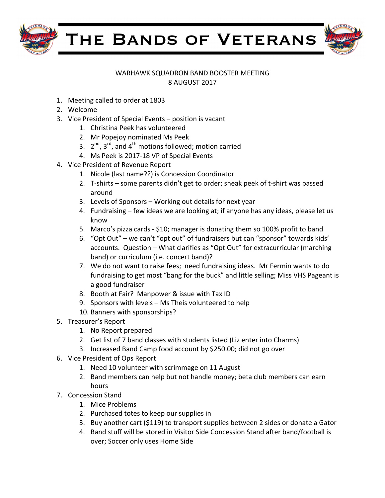



## WARHAWK SQUADRON BAND BOOSTER MEETING 8 AUGUST 2017

- 1. Meeting called to order at 1803
- 2. Welcome
- 3. Vice President of Special Events position is vacant
	- 1. Christina Peek has volunteered
	- 2. Mr Popejoy nominated Ms Peek
	- 3.  $2^{nd}$ ,  $3^{rd}$ , and  $4^{th}$  motions followed; motion carried
	- 4. Ms Peek is 2017-18 VP of Special Events
- 4. Vice President of Revenue Report
	- 1. Nicole (last name??) is Concession Coordinator
	- 2. T-shirts some parents didn't get to order; sneak peek of t-shirt was passed around
	- 3. Levels of Sponsors Working out details for next year
	- 4. Fundraising few ideas we are looking at; if anyone has any ideas, please let us know
	- 5. Marco's pizza cards \$10; manager is donating them so 100% profit to band
	- 6. "Opt Out" we can't "opt out" of fundraisers but can "sponsor" towards kids' accounts. Question - What clarifies as "Opt Out" for extracurricular (marching band) or curriculum (i.e. concert band)?
	- 7. We do not want to raise fees; need fundraising ideas. Mr Fermin wants to do fundraising to get most "bang for the buck" and little selling; Miss VHS Pageant is a good fundraiser
	- 8. Booth at Fair? Manpower & issue with Tax ID
	- 9. Sponsors with levels Ms Theis volunteered to help
	- 10. Banners with sponsorships?
- 5. Treasurer's Report
	- 1. No Report prepared
	- 2. Get list of 7 band classes with students listed (Liz enter into Charms)
	- 3. Increased Band Camp food account by \$250.00; did not go over
- 6. Vice President of Ops Report
	- 1. Need 10 volunteer with scrimmage on 11 August
	- 2. Band members can help but not handle money; beta club members can earn hours
- 7. Concession Stand
	- 1. Mice Problems
	- 2. Purchased totes to keep our supplies in
	- 3. Buy another cart (\$119) to transport supplies between 2 sides or donate a Gator
	- 4. Band stuff will be stored in Visitor Side Concession Stand after band/football is over; Soccer only uses Home Side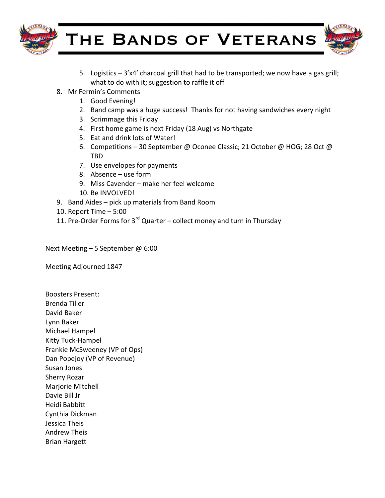

THE BANDS OF VETERANS

- 5. Logistics  $-3'x4'$  charcoal grill that had to be transported; we now have a gas grill; what to do with it; suggestion to raffle it off
- 8. Mr Fermin's Comments
	- 1. Good Evening!
	- 2. Band camp was a huge success! Thanks for not having sandwiches every night
	- 3. Scrimmage this Friday
	- 4. First home game is next Friday (18 Aug) vs Northgate
	- 5. Eat and drink lots of Water!
	- 6. Competitions 30 September @ Oconee Classic; 21 October @ HOG; 28 Oct @ TBD
	- 7. Use envelopes for payments
	- 8. Absence  $-$  use form
	- 9. Miss Cavender make her feel welcome
	- 10. Be INVOLVED!
- 9. Band Aides pick up materials from Band Room
- 10. Report Time  $-5:00$
- 11. Pre-Order Forms for  $3^{rd}$  Quarter collect money and turn in Thursday

Next Meeting  $-5$  September @ 6:00

Meeting Adjourned 1847

Boosters Present: Brenda Tiller David Baker Lynn Baker Michael Hampel Kitty Tuck-Hampel Frankie McSweeney (VP of Ops) Dan Popejoy (VP of Revenue) Susan Jones Sherry Rozar Marjorie Mitchell Davie Bill Jr Heidi Babbitt Cynthia Dickman Jessica Theis Andrew Theis Brian Hargett